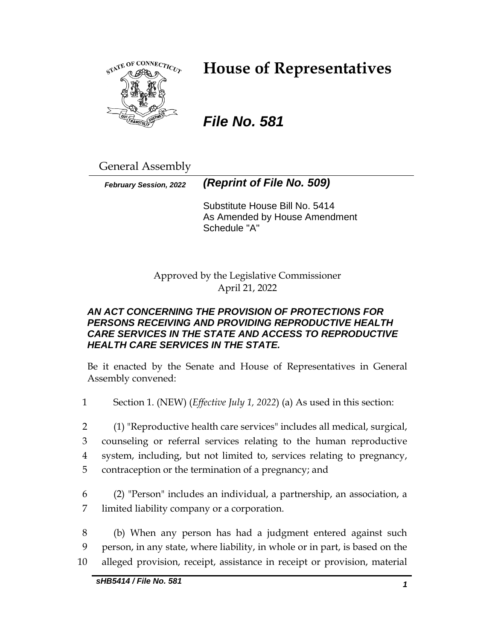

# **House of Representatives**

## *File No. 581*

General Assembly

*February Session, 2022 (Reprint of File No. 509)*

Substitute House Bill No. 5414 As Amended by House Amendment Schedule "A"

Approved by the Legislative Commissioner April 21, 2022

## *AN ACT CONCERNING THE PROVISION OF PROTECTIONS FOR PERSONS RECEIVING AND PROVIDING REPRODUCTIVE HEALTH CARE SERVICES IN THE STATE AND ACCESS TO REPRODUCTIVE HEALTH CARE SERVICES IN THE STATE.*

Be it enacted by the Senate and House of Representatives in General Assembly convened:

- 1 Section 1. (NEW) (*Effective July 1, 2022*) (a) As used in this section:
- 2 (1) "Reproductive health care services" includes all medical, surgical, 3 counseling or referral services relating to the human reproductive 4 system, including, but not limited to, services relating to pregnancy, 5 contraception or the termination of a pregnancy; and
- 6 (2) "Person" includes an individual, a partnership, an association, a 7 limited liability company or a corporation.
- 8 (b) When any person has had a judgment entered against such 9 person, in any state, where liability, in whole or in part, is based on the 10 alleged provision, receipt, assistance in receipt or provision, material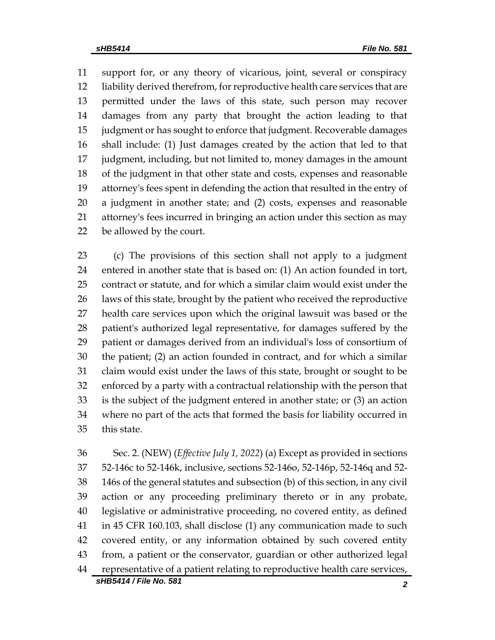support for, or any theory of vicarious, joint, several or conspiracy liability derived therefrom, for reproductive health care services that are permitted under the laws of this state, such person may recover damages from any party that brought the action leading to that judgment or has sought to enforce that judgment. Recoverable damages shall include: (1) Just damages created by the action that led to that judgment, including, but not limited to, money damages in the amount of the judgment in that other state and costs, expenses and reasonable attorney's fees spent in defending the action that resulted in the entry of a judgment in another state; and (2) costs, expenses and reasonable attorney's fees incurred in bringing an action under this section as may be allowed by the court.

 (c) The provisions of this section shall not apply to a judgment entered in another state that is based on: (1) An action founded in tort, contract or statute, and for which a similar claim would exist under the laws of this state, brought by the patient who received the reproductive health care services upon which the original lawsuit was based or the patient's authorized legal representative, for damages suffered by the patient or damages derived from an individual's loss of consortium of the patient; (2) an action founded in contract, and for which a similar claim would exist under the laws of this state, brought or sought to be enforced by a party with a contractual relationship with the person that is the subject of the judgment entered in another state; or (3) an action where no part of the acts that formed the basis for liability occurred in this state.

 Sec. 2. (NEW) (*Effective July 1, 2022*) (a) Except as provided in sections 52-146c to 52-146k, inclusive, sections 52-146o, 52-146p, 52-146q and 52- 146s of the general statutes and subsection (b) of this section, in any civil action or any proceeding preliminary thereto or in any probate, legislative or administrative proceeding, no covered entity, as defined in 45 CFR 160.103, shall disclose (1) any communication made to such covered entity, or any information obtained by such covered entity from, a patient or the conservator, guardian or other authorized legal representative of a patient relating to reproductive health care services,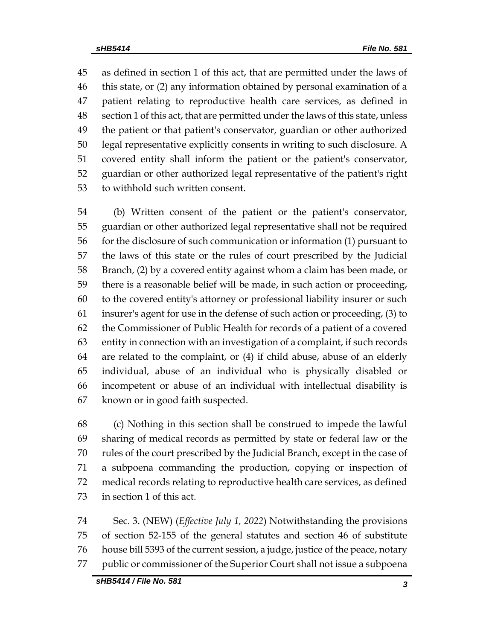as defined in section 1 of this act, that are permitted under the laws of this state, or (2) any information obtained by personal examination of a patient relating to reproductive health care services, as defined in section 1 of this act, that are permitted under the laws of this state, unless the patient or that patient's conservator, guardian or other authorized legal representative explicitly consents in writing to such disclosure. A covered entity shall inform the patient or the patient's conservator, guardian or other authorized legal representative of the patient's right to withhold such written consent.

 (b) Written consent of the patient or the patient's conservator, guardian or other authorized legal representative shall not be required for the disclosure of such communication or information (1) pursuant to the laws of this state or the rules of court prescribed by the Judicial Branch, (2) by a covered entity against whom a claim has been made, or there is a reasonable belief will be made, in such action or proceeding, to the covered entity's attorney or professional liability insurer or such insurer's agent for use in the defense of such action or proceeding, (3) to the Commissioner of Public Health for records of a patient of a covered entity in connection with an investigation of a complaint, if such records are related to the complaint, or (4) if child abuse, abuse of an elderly individual, abuse of an individual who is physically disabled or incompetent or abuse of an individual with intellectual disability is known or in good faith suspected.

 (c) Nothing in this section shall be construed to impede the lawful sharing of medical records as permitted by state or federal law or the rules of the court prescribed by the Judicial Branch, except in the case of a subpoena commanding the production, copying or inspection of medical records relating to reproductive health care services, as defined in section 1 of this act.

 Sec. 3. (NEW) (*Effective July 1, 2022*) Notwithstanding the provisions of section 52-155 of the general statutes and section 46 of substitute house bill 5393 of the current session, a judge, justice of the peace, notary public or commissioner of the Superior Court shall not issue a subpoena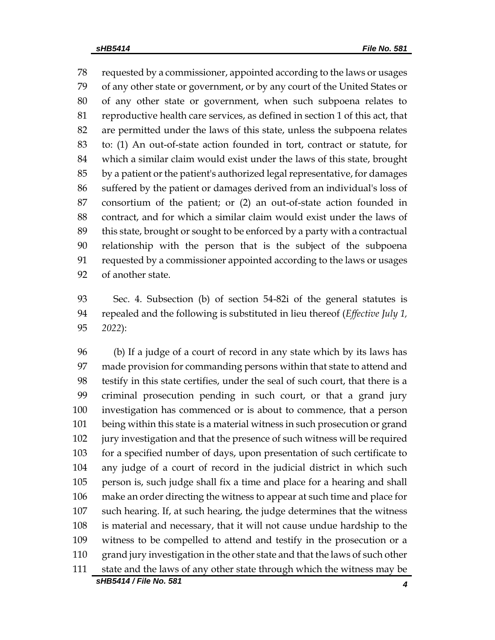requested by a commissioner, appointed according to the laws or usages of any other state or government, or by any court of the United States or of any other state or government, when such subpoena relates to reproductive health care services, as defined in section 1 of this act, that are permitted under the laws of this state, unless the subpoena relates to: (1) An out-of-state action founded in tort, contract or statute, for which a similar claim would exist under the laws of this state, brought by a patient or the patient's authorized legal representative, for damages suffered by the patient or damages derived from an individual's loss of consortium of the patient; or (2) an out-of-state action founded in contract, and for which a similar claim would exist under the laws of this state, brought or sought to be enforced by a party with a contractual relationship with the person that is the subject of the subpoena requested by a commissioner appointed according to the laws or usages of another state.

 Sec. 4. Subsection (b) of section 54-82i of the general statutes is repealed and the following is substituted in lieu thereof (*Effective July 1, 2022*):

*sHB5414 / File No. 581 4* (b) If a judge of a court of record in any state which by its laws has made provision for commanding persons within that state to attend and testify in this state certifies, under the seal of such court, that there is a criminal prosecution pending in such court, or that a grand jury investigation has commenced or is about to commence, that a person being within this state is a material witness in such prosecution or grand jury investigation and that the presence of such witness will be required for a specified number of days, upon presentation of such certificate to any judge of a court of record in the judicial district in which such person is, such judge shall fix a time and place for a hearing and shall make an order directing the witness to appear at such time and place for such hearing. If, at such hearing, the judge determines that the witness is material and necessary, that it will not cause undue hardship to the witness to be compelled to attend and testify in the prosecution or a grand jury investigation in the other state and that the laws of such other state and the laws of any other state through which the witness may be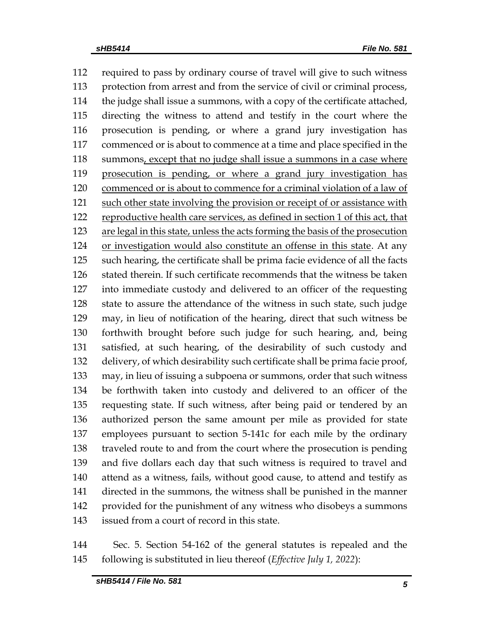required to pass by ordinary course of travel will give to such witness protection from arrest and from the service of civil or criminal process, the judge shall issue a summons, with a copy of the certificate attached, directing the witness to attend and testify in the court where the prosecution is pending, or where a grand jury investigation has commenced or is about to commence at a time and place specified in the 118 summons, except that no judge shall issue a summons in a case where prosecution is pending, or where a grand jury investigation has 120 commenced or is about to commence for a criminal violation of a law of 121 such other state involving the provision or receipt of or assistance with reproductive health care services, as defined in section 1 of this act, that are legal in this state, unless the acts forming the basis of the prosecution or investigation would also constitute an offense in this state. At any such hearing, the certificate shall be prima facie evidence of all the facts stated therein. If such certificate recommends that the witness be taken into immediate custody and delivered to an officer of the requesting state to assure the attendance of the witness in such state, such judge may, in lieu of notification of the hearing, direct that such witness be forthwith brought before such judge for such hearing, and, being satisfied, at such hearing, of the desirability of such custody and delivery, of which desirability such certificate shall be prima facie proof, may, in lieu of issuing a subpoena or summons, order that such witness be forthwith taken into custody and delivered to an officer of the requesting state. If such witness, after being paid or tendered by an authorized person the same amount per mile as provided for state employees pursuant to section 5-141c for each mile by the ordinary traveled route to and from the court where the prosecution is pending and five dollars each day that such witness is required to travel and attend as a witness, fails, without good cause, to attend and testify as directed in the summons, the witness shall be punished in the manner provided for the punishment of any witness who disobeys a summons issued from a court of record in this state.

 Sec. 5. Section 54-162 of the general statutes is repealed and the following is substituted in lieu thereof (*Effective July 1, 2022*):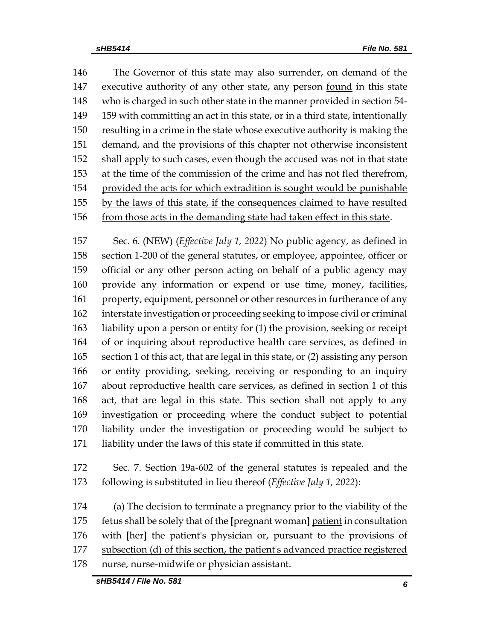The Governor of this state may also surrender, on demand of the 147 executive authority of any other state, any person <u>found</u> in this state 148 who is charged in such other state in the manner provided in section 54- 159 with committing an act in this state, or in a third state, intentionally resulting in a crime in the state whose executive authority is making the demand, and the provisions of this chapter not otherwise inconsistent shall apply to such cases, even though the accused was not in that state at the time of the commission of the crime and has not fled therefrom, provided the acts for which extradition is sought would be punishable by the laws of this state, if the consequences claimed to have resulted 156 from those acts in the demanding state had taken effect in this state.

 Sec. 6. (NEW) (*Effective July 1, 2022*) No public agency, as defined in section 1-200 of the general statutes, or employee, appointee, officer or official or any other person acting on behalf of a public agency may provide any information or expend or use time, money, facilities, property, equipment, personnel or other resources in furtherance of any interstate investigation or proceeding seeking to impose civil or criminal liability upon a person or entity for (1) the provision, seeking or receipt of or inquiring about reproductive health care services, as defined in section 1 of this act, that are legal in this state, or (2) assisting any person or entity providing, seeking, receiving or responding to an inquiry about reproductive health care services, as defined in section 1 of this act, that are legal in this state. This section shall not apply to any investigation or proceeding where the conduct subject to potential liability under the investigation or proceeding would be subject to liability under the laws of this state if committed in this state.

 Sec. 7. Section 19a-602 of the general statutes is repealed and the following is substituted in lieu thereof (*Effective July 1, 2022*):

 (a) The decision to terminate a pregnancy prior to the viability of the fetus shall be solely that of the **[**pregnant woman**]** patient in consultation with **[**her**]** the patient's physician or, pursuant to the provisions of subsection (d) of this section, the patient's advanced practice registered nurse, nurse-midwife or physician assistant.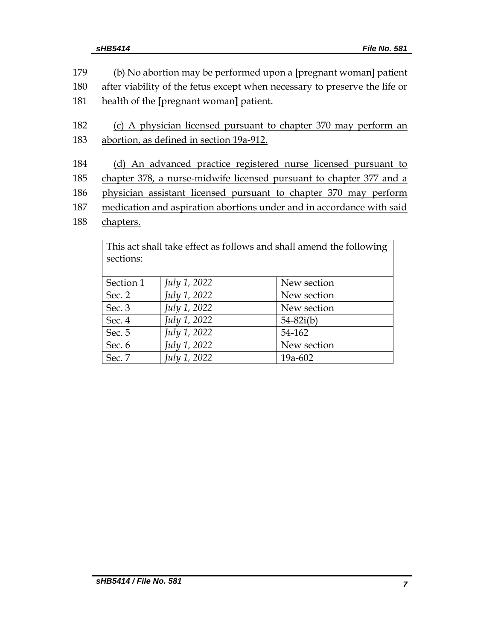| 179 | (b) No abortion may be performed upon a [pregnant woman] patient           |  |  |
|-----|----------------------------------------------------------------------------|--|--|
| 180 | after viability of the fetus except when necessary to preserve the life or |  |  |
| 181 | health of the [pregnant woman] patient.                                    |  |  |
| 182 | (c) A physician licensed pursuant to chapter 370 may perform an            |  |  |
| 183 | abortion, as defined in section 19a-912.                                   |  |  |
|     |                                                                            |  |  |
| 184 | (d) An advanced practice registered nurse licensed pursuant to             |  |  |
| 185 | chapter 378, a nurse-midwife licensed pursuant to chapter 377 and a        |  |  |
| 186 | physician assistant licensed pursuant to chapter 370 may perform           |  |  |
| 187 | medication and aspiration abortions under and in accordance with said      |  |  |
| 188 | chapters.                                                                  |  |  |
|     | This act shall take effect as follows and shall amend the following        |  |  |
|     |                                                                            |  |  |

| sections: |              |               |
|-----------|--------------|---------------|
| Section 1 | July 1, 2022 | New section   |
| Sec. 2    | July 1, 2022 | New section   |
| Sec. 3    | July 1, 2022 | New section   |
| Sec. 4    | July 1, 2022 | $54 - 82i(b)$ |
| Sec. 5    | July 1, 2022 | 54-162        |
| Sec. 6    | July 1, 2022 | New section   |
| Sec. 7    | July 1, 2022 | 19a-602       |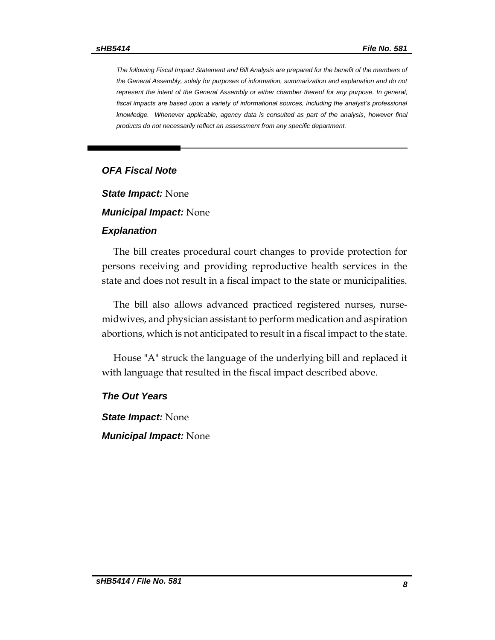*The following Fiscal Impact Statement and Bill Analysis are prepared for the benefit of the members of the General Assembly, solely for purposes of information, summarization and explanation and do not represent the intent of the General Assembly or either chamber thereof for any purpose. In general, fiscal impacts are based upon a variety of informational sources, including the analyst's professional*  knowledge. Whenever applicable, agency data is consulted as part of the analysis, however final *products do not necessarily reflect an assessment from any specific department.*

#### *OFA Fiscal Note*

*State Impact:* None

*Municipal Impact:* None

#### *Explanation*

The bill creates procedural court changes to provide protection for persons receiving and providing reproductive health services in the state and does not result in a fiscal impact to the state or municipalities.

The bill also allows advanced practiced registered nurses, nursemidwives, and physician assistant to perform medication and aspiration abortions, which is not anticipated to result in a fiscal impact to the state.

House "A" struck the language of the underlying bill and replaced it with language that resulted in the fiscal impact described above.

### *The Out Years*

*State Impact:* None *Municipal Impact:* None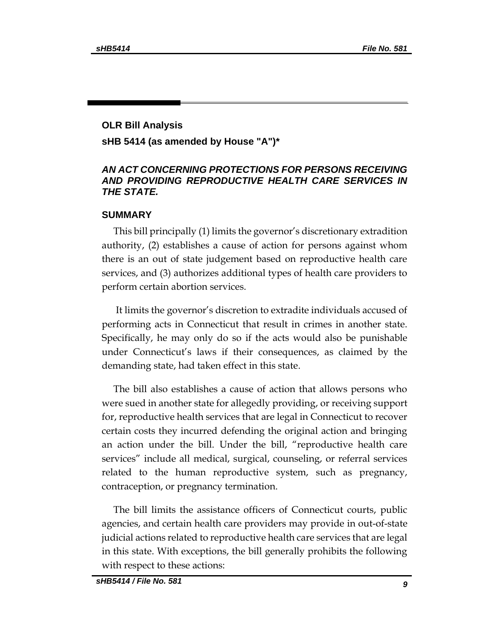## **OLR Bill Analysis sHB 5414 (as amended by House "A")\***

## *AN ACT CONCERNING PROTECTIONS FOR PERSONS RECEIVING AND PROVIDING REPRODUCTIVE HEALTH CARE SERVICES IN THE STATE.*

### **SUMMARY**

This bill principally (1) limits the governor's discretionary extradition authority, (2) establishes a cause of action for persons against whom there is an out of state judgement based on reproductive health care services, and (3) authorizes additional types of health care providers to perform certain abortion services.

It limits the governor's discretion to extradite individuals accused of performing acts in Connecticut that result in crimes in another state. Specifically, he may only do so if the acts would also be punishable under Connecticut's laws if their consequences, as claimed by the demanding state, had taken effect in this state.

The bill also establishes a cause of action that allows persons who were sued in another state for allegedly providing, or receiving support for, reproductive health services that are legal in Connecticut to recover certain costs they incurred defending the original action and bringing an action under the bill. Under the bill, "reproductive health care services" include all medical, surgical, counseling, or referral services related to the human reproductive system, such as pregnancy, contraception, or pregnancy termination.

The bill limits the assistance officers of Connecticut courts, public agencies, and certain health care providers may provide in out-of-state judicial actions related to reproductive health care services that are legal in this state. With exceptions, the bill generally prohibits the following with respect to these actions: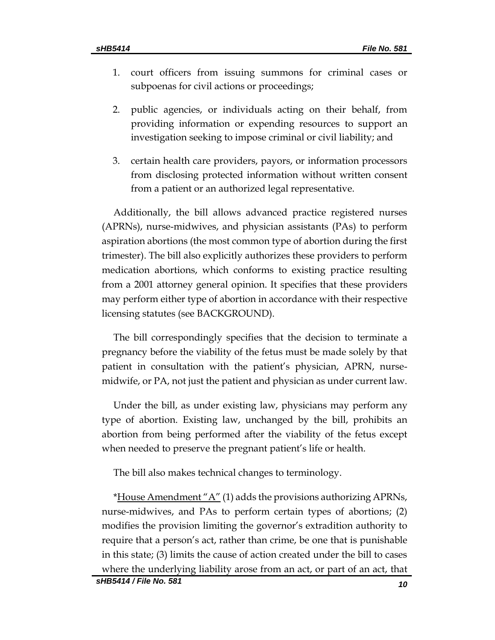- 1. court officers from issuing summons for criminal cases or subpoenas for civil actions or proceedings;
- 2. public agencies, or individuals acting on their behalf, from providing information or expending resources to support an investigation seeking to impose criminal or civil liability; and
- 3. certain health care providers, payors, or information processors from disclosing protected information without written consent from a patient or an authorized legal representative.

Additionally, the bill allows advanced practice registered nurses (APRNs), nurse-midwives, and physician assistants (PAs) to perform aspiration abortions (the most common type of abortion during the first trimester). The bill also explicitly authorizes these providers to perform medication abortions, which conforms to existing practice resulting from a 2001 attorney general opinion. It specifies that these providers may perform either type of abortion in accordance with their respective licensing statutes (see BACKGROUND).

The bill correspondingly specifies that the decision to terminate a pregnancy before the viability of the fetus must be made solely by that patient in consultation with the patient's physician, APRN, nursemidwife, or PA, not just the patient and physician as under current law.

Under the bill, as under existing law, physicians may perform any type of abortion. Existing law, unchanged by the bill, prohibits an abortion from being performed after the viability of the fetus except when needed to preserve the pregnant patient's life or health.

The bill also makes technical changes to terminology.

\*House Amendment "A" (1) adds the provisions authorizing APRNs, nurse-midwives, and PAs to perform certain types of abortions; (2) modifies the provision limiting the governor's extradition authority to require that a person's act, rather than crime, be one that is punishable in this state; (3) limits the cause of action created under the bill to cases where the underlying liability arose from an act, or part of an act, that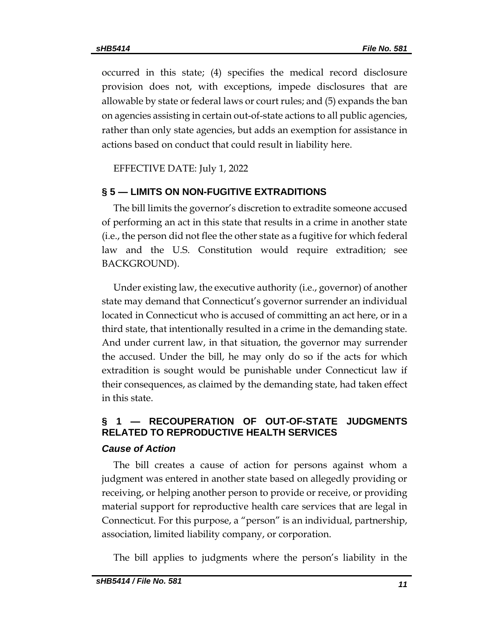occurred in this state; (4) specifies the medical record disclosure provision does not, with exceptions, impede disclosures that are allowable by state or federal laws or court rules; and (5) expands the ban on agencies assisting in certain out-of-state actions to all public agencies, rather than only state agencies, but adds an exemption for assistance in actions based on conduct that could result in liability here.

EFFECTIVE DATE: July 1, 2022

### **§ 5 — LIMITS ON NON-FUGITIVE EXTRADITIONS**

The bill limits the governor's discretion to extradite someone accused of performing an act in this state that results in a crime in another state (i.e., the person did not flee the other state as a fugitive for which federal law and the U.S. Constitution would require extradition; see BACKGROUND).

Under existing law, the executive authority (i.e., governor) of another state may demand that Connecticut's governor surrender an individual located in Connecticut who is accused of committing an act here, or in a third state, that intentionally resulted in a crime in the demanding state. And under current law, in that situation, the governor may surrender the accused. Under the bill, he may only do so if the acts for which extradition is sought would be punishable under Connecticut law if their consequences, as claimed by the demanding state, had taken effect in this state.

## **§ 1 — RECOUPERATION OF OUT-OF-STATE JUDGMENTS RELATED TO REPRODUCTIVE HEALTH SERVICES**

### *Cause of Action*

The bill creates a cause of action for persons against whom a judgment was entered in another state based on allegedly providing or receiving, or helping another person to provide or receive, or providing material support for reproductive health care services that are legal in Connecticut. For this purpose, a "person" is an individual, partnership, association, limited liability company, or corporation.

The bill applies to judgments where the person's liability in the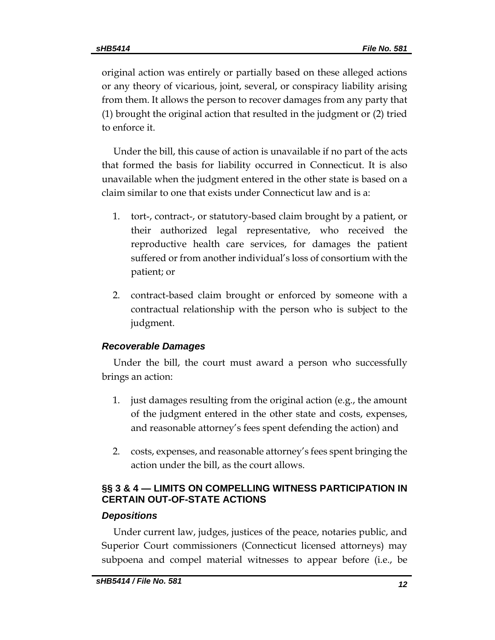original action was entirely or partially based on these alleged actions or any theory of vicarious, joint, several, or conspiracy liability arising from them. It allows the person to recover damages from any party that (1) brought the original action that resulted in the judgment or (2) tried to enforce it.

Under the bill, this cause of action is unavailable if no part of the acts that formed the basis for liability occurred in Connecticut. It is also unavailable when the judgment entered in the other state is based on a claim similar to one that exists under Connecticut law and is a:

- 1. tort-, contract-, or statutory-based claim brought by a patient, or their authorized legal representative, who received the reproductive health care services, for damages the patient suffered or from another individual's loss of consortium with the patient; or
- 2. contract-based claim brought or enforced by someone with a contractual relationship with the person who is subject to the judgment.

## *Recoverable Damages*

Under the bill, the court must award a person who successfully brings an action:

- 1. just damages resulting from the original action (e.g., the amount of the judgment entered in the other state and costs, expenses, and reasonable attorney's fees spent defending the action) and
- 2. costs, expenses, and reasonable attorney's fees spent bringing the action under the bill, as the court allows.

## **§§ 3 & 4 — LIMITS ON COMPELLING WITNESS PARTICIPATION IN CERTAIN OUT-OF-STATE ACTIONS**

#### *Depositions*

Under current law, judges, justices of the peace, notaries public, and Superior Court commissioners (Connecticut licensed attorneys) may subpoena and compel material witnesses to appear before (i.e., be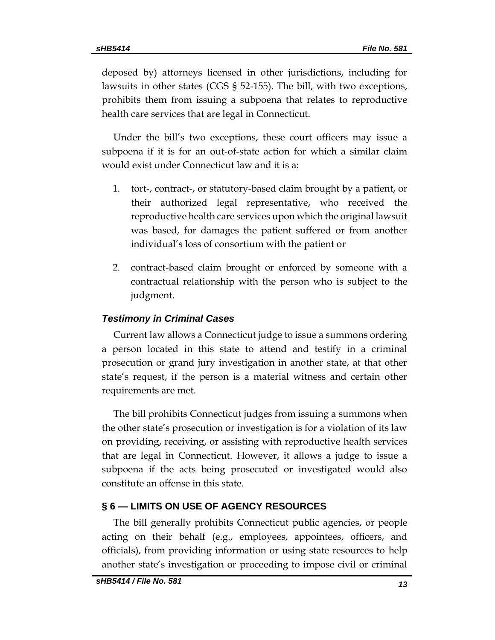deposed by) attorneys licensed in other jurisdictions, including for lawsuits in other states (CGS § 52-155). The bill, with two exceptions, prohibits them from issuing a subpoena that relates to reproductive health care services that are legal in Connecticut.

Under the bill's two exceptions, these court officers may issue a subpoena if it is for an out-of-state action for which a similar claim would exist under Connecticut law and it is a:

- 1. tort-, contract-, or statutory-based claim brought by a patient, or their authorized legal representative, who received the reproductive health care services upon which the original lawsuit was based, for damages the patient suffered or from another individual's loss of consortium with the patient or
- 2. contract-based claim brought or enforced by someone with a contractual relationship with the person who is subject to the judgment.

## *Testimony in Criminal Cases*

Current law allows a Connecticut judge to issue a summons ordering a person located in this state to attend and testify in a criminal prosecution or grand jury investigation in another state, at that other state's request, if the person is a material witness and certain other requirements are met.

The bill prohibits Connecticut judges from issuing a summons when the other state's prosecution or investigation is for a violation of its law on providing, receiving, or assisting with reproductive health services that are legal in Connecticut. However, it allows a judge to issue a subpoena if the acts being prosecuted or investigated would also constitute an offense in this state.

## **§ 6 — LIMITS ON USE OF AGENCY RESOURCES**

The bill generally prohibits Connecticut public agencies, or people acting on their behalf (e.g., employees, appointees, officers, and officials), from providing information or using state resources to help another state's investigation or proceeding to impose civil or criminal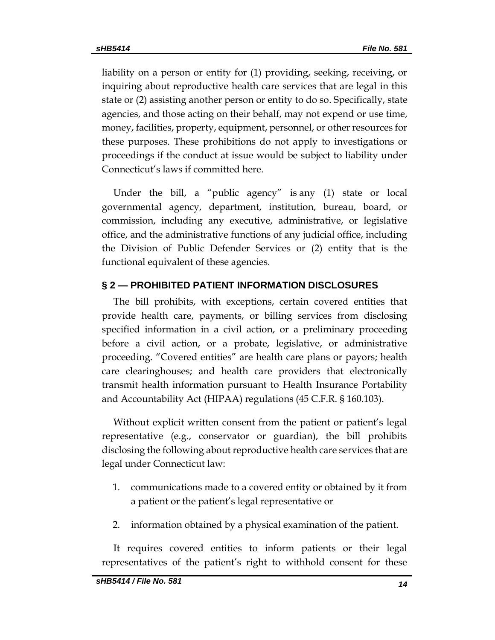liability on a person or entity for (1) providing, seeking, receiving, or inquiring about reproductive health care services that are legal in this state or (2) assisting another person or entity to do so. Specifically, state agencies, and those acting on their behalf, may not expend or use time, money, facilities, property, equipment, personnel, or other resources for these purposes. These prohibitions do not apply to investigations or proceedings if the conduct at issue would be subject to liability under Connecticut's laws if committed here.

Under the bill, a "public agency" is any (1) state or local governmental agency, department, institution, bureau, board, or commission, including any executive, administrative, or legislative office, and the administrative functions of any judicial office, including the Division of Public Defender Services or (2) entity that is the functional equivalent of these agencies.

## **§ 2 — PROHIBITED PATIENT INFORMATION DISCLOSURES**

The bill prohibits, with exceptions, certain covered entities that provide health care, payments, or billing services from disclosing specified information in a civil action, or a preliminary proceeding before a civil action, or a probate, legislative, or administrative proceeding. "Covered entities" are health care plans or payors; health care clearinghouses; and health care providers that electronically transmit health information pursuant to Health Insurance Portability and Accountability Act (HIPAA) regulations (45 C.F.R. § 160.103).

Without explicit written consent from the patient or patient's legal representative (e.g., conservator or guardian), the bill prohibits disclosing the following about reproductive health care services that are legal under Connecticut law:

- 1. communications made to a covered entity or obtained by it from a patient or the patient's legal representative or
- 2. information obtained by a physical examination of the patient.

It requires covered entities to inform patients or their legal representatives of the patient's right to withhold consent for these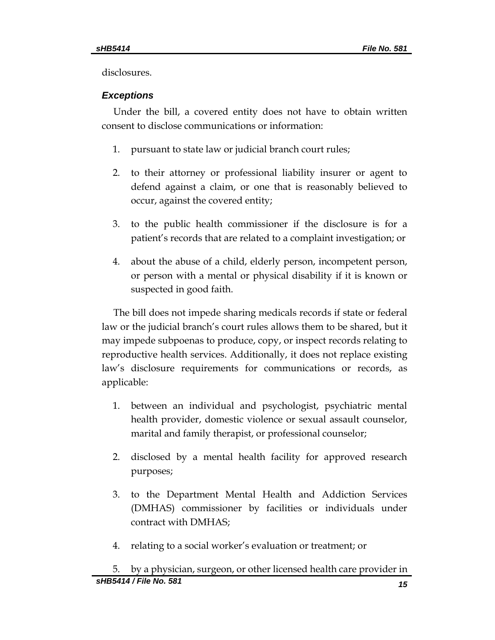disclosures.

## *Exceptions*

Under the bill, a covered entity does not have to obtain written consent to disclose communications or information:

- 1. pursuant to state law or judicial branch court rules;
- 2. to their attorney or professional liability insurer or agent to defend against a claim, or one that is reasonably believed to occur, against the covered entity;
- 3. to the public health commissioner if the disclosure is for a patient's records that are related to a complaint investigation; or
- 4. about the abuse of a child, elderly person, incompetent person, or person with a mental or physical disability if it is known or suspected in good faith.

The bill does not impede sharing medicals records if state or federal law or the judicial branch's court rules allows them to be shared, but it may impede subpoenas to produce, copy, or inspect records relating to reproductive health services. Additionally, it does not replace existing law's disclosure requirements for communications or records, as applicable:

- 1. between an individual and psychologist, psychiatric mental health provider, domestic violence or sexual assault counselor, marital and family therapist, or professional counselor;
- 2. disclosed by a mental health facility for approved research purposes;
- 3. to the Department Mental Health and Addiction Services (DMHAS) commissioner by facilities or individuals under contract with DMHAS;
- 4. relating to a social worker's evaluation or treatment; or

*sHB5414 / File No. 581 15* 5. by a physician, surgeon, or other licensed health care provider in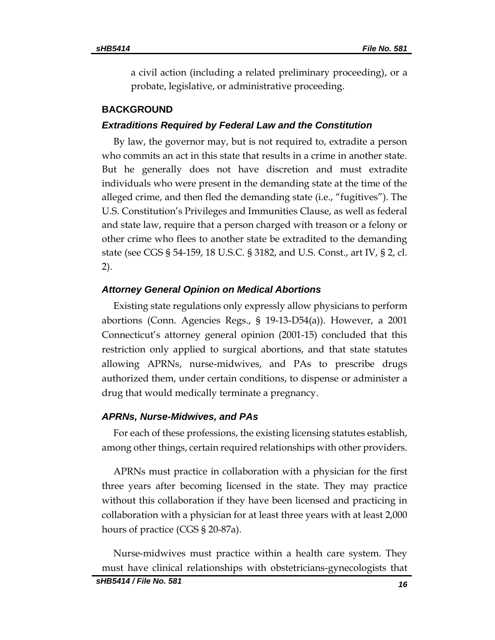a civil action (including a related preliminary proceeding), or a probate, legislative, or administrative proceeding.

#### **BACKGROUND**

#### *Extraditions Required by Federal Law and the Constitution*

By law, the governor may, but is not required to, extradite a person who commits an act in this state that results in a crime in another state. But he generally does not have discretion and must extradite individuals who were present in the demanding state at the time of the alleged crime, and then fled the demanding state (i.e., "fugitives"). The U.S. Constitution's Privileges and Immunities Clause, as well as federal and state law, require that a person charged with treason or a felony or other crime who flees to another state be extradited to the demanding state (see CGS § 54-159, 18 U.S.C. § 3182, and U.S. Const., art IV, § 2, cl. 2).

#### *Attorney General Opinion on Medical Abortions*

Existing state regulations only expressly allow physicians to perform abortions (Conn. Agencies Regs., § 19-13-D54(a)). However, a 2001 Connecticut's attorney general opinion (2001-15) concluded that this restriction only applied to surgical abortions, and that state statutes allowing APRNs, nurse-midwives, and PAs to prescribe drugs authorized them, under certain conditions, to dispense or administer a drug that would medically terminate a pregnancy.

#### *APRNs, Nurse-Midwives, and PAs*

For each of these professions, the existing licensing statutes establish, among other things, certain required relationships with other providers.

APRNs must practice in collaboration with a physician for the first three years after becoming licensed in the state. They may practice without this collaboration if they have been licensed and practicing in collaboration with a physician for at least three years with at least 2,000 hours of practice (CGS § 20-87a).

Nurse-midwives must practice within a health care system. They must have clinical relationships with obstetricians-gynecologists that